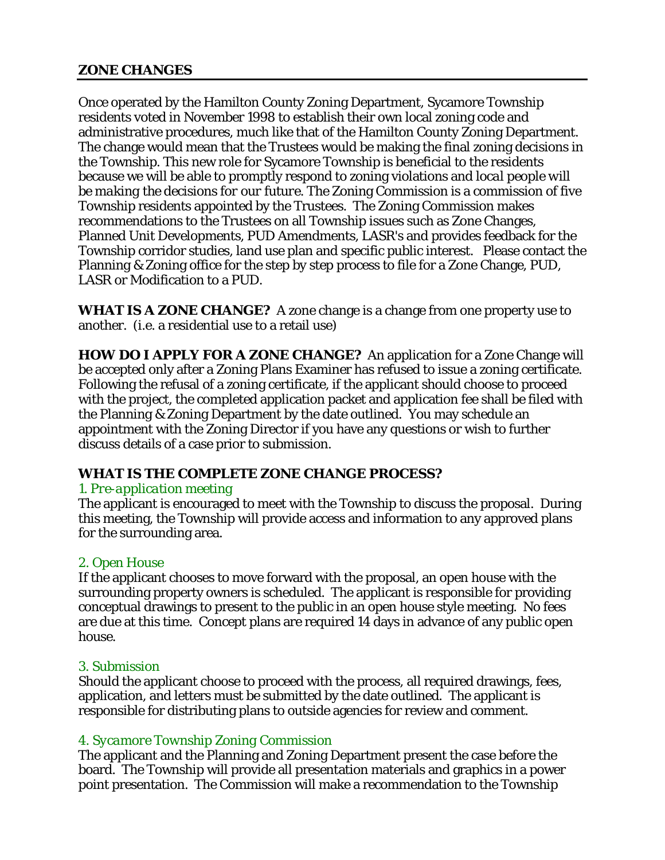# **ZONE CHANGES**

Once operated by the Hamilton County Zoning Department, Sycamore Township residents voted in November 1998 to establish their own local zoning code and administrative procedures, much like that of the Hamilton County Zoning Department. The change would mean that the Trustees would be making the final zoning decisions in the Township. This new role for Sycamore Township is beneficial to the residents because we will be able to promptly respond to zoning violations and *local people will be making the decisions for our future*. The Zoning Commission is a commission of five Township residents appointed by the Trustees. The Zoning Commission makes recommendations to the Trustees on all Township issues such as Zone Changes, Planned Unit Developments, PUD Amendments, LASR's and provides feedback for the Township corridor studies, land use plan and specific public interest. Please contact the Planning & Zoning office for the step by step process to file for a Zone Change, PUD, LASR or Modification to a PUD.

**WHAT IS A ZONE CHANGE?** A zone change is a change from one property use to another. (i.e. a residential use to a retail use)

**HOW DO I APPLY FOR A ZONE CHANGE?** An application for a Zone Change will be accepted only after a Zoning Plans Examiner has refused to issue a zoning certificate. Following the refusal of a zoning certificate, if the applicant should choose to proceed with the project, the completed application packet and application fee shall be filed with the Planning & Zoning Department by the date outlined. You may schedule an appointment with the Zoning Director if you have any questions or wish to further discuss details of a case prior to submission.

# **WHAT IS THE COMPLETE ZONE CHANGE PROCESS?**

# *1. Pre-application meeting*

The applicant is encouraged to meet with the Township to discuss the proposal. During this meeting, the Township will provide access and information to any approved plans for the surrounding area.

# *2. Open House*

If the applicant chooses to move forward with the proposal, an open house with the surrounding property owners is scheduled. The applicant is responsible for providing conceptual drawings to present to the public in an open house style meeting. No fees are due at this time. Concept plans are required 14 days in advance of any public open house.

## *3. Submission*

Should the applicant choose to proceed with the process, all required drawings, fees, application, and letters must be submitted by the date outlined. The applicant is responsible for distributing plans to outside agencies for review and comment.

# *4. Sycamore Township Zoning Commission*

The applicant and the Planning and Zoning Department present the case before the board. The Township will provide all presentation materials and graphics in a power point presentation*.* The Commission will make a recommendation to the Township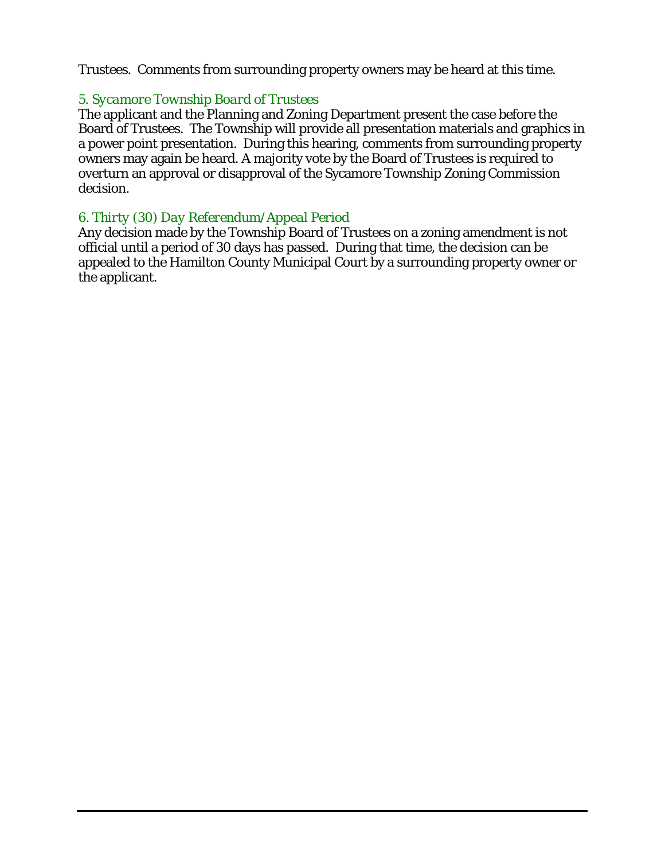Trustees. Comments from surrounding property owners may be heard at this time.

# *5. Sycamore Township Board of Trustees*

The applicant and the Planning and Zoning Department present the case before the Board of Trustees. The Township will provide all presentation materials and graphics in a power point presentation*.* During this hearing, comments from surrounding property owners may again be heard. A majority vote by the Board of Trustees is required to overturn an approval or disapproval of the Sycamore Township Zoning Commission decision.

# *6. Thirty (30) Day Referendum/Appeal Period*

Any decision made by the Township Board of Trustees on a zoning amendment is not official until a period of 30 days has passed. During that time, the decision can be appealed to the Hamilton County Municipal Court by a surrounding property owner or the applicant.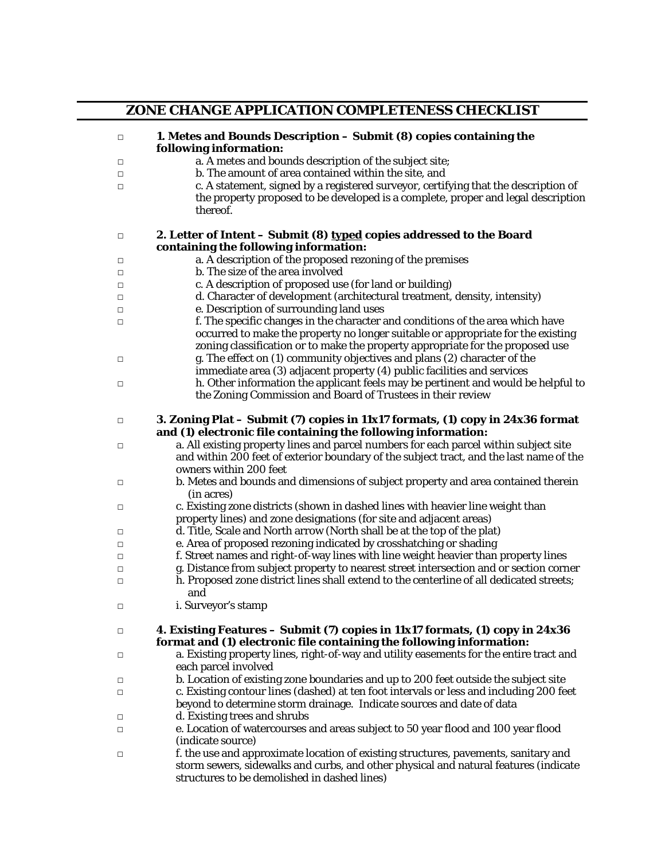|        | ZONE CHANGE APPLICATION COMPLETENESS CHECKLIST                                                                                                                                                                                                       |
|--------|------------------------------------------------------------------------------------------------------------------------------------------------------------------------------------------------------------------------------------------------------|
| $\Box$ | 1. Metes and Bounds Description - Submit (8) copies containing the<br>following information:                                                                                                                                                         |
| □      | a. A metes and bounds description of the subject site;                                                                                                                                                                                               |
| $\Box$ | b. The amount of area contained within the site, and                                                                                                                                                                                                 |
| $\Box$ | c. A statement, signed by a registered surveyor, certifying that the description of<br>the property proposed to be developed is a complete, proper and legal description<br>thereof.                                                                 |
| $\Box$ | 2. Letter of Intent - Submit (8) typed copies addressed to the Board<br>containing the following information:                                                                                                                                        |
| $\Box$ | a. A description of the proposed rezoning of the premises                                                                                                                                                                                            |
| □      | b. The size of the area involved                                                                                                                                                                                                                     |
| □      | c. A description of proposed use (for land or building)                                                                                                                                                                                              |
| □      | d. Character of development (architectural treatment, density, intensity)                                                                                                                                                                            |
|        | e. Description of surrounding land uses                                                                                                                                                                                                              |
| □      |                                                                                                                                                                                                                                                      |
| $\Box$ | f. The specific changes in the character and conditions of the area which have<br>occurred to make the property no longer suitable or appropriate for the existing<br>zoning classification or to make the property appropriate for the proposed use |
| $\Box$ | g. The effect on (1) community objectives and plans (2) character of the<br>immediate area (3) adjacent property (4) public facilities and services                                                                                                  |
| $\Box$ | h. Other information the applicant feels may be pertinent and would be helpful to<br>the Zoning Commission and Board of Trustees in their review                                                                                                     |
| $\Box$ | 3. Zoning Plat – Submit (7) copies in 11x17 formats, (1) copy in 24x36 format<br>and (1) electronic file containing the following information:                                                                                                       |
| □      | a. All existing property lines and parcel numbers for each parcel within subject site<br>and within 200 feet of exterior boundary of the subject tract, and the last name of the<br>owners within 200 feet                                           |
| □      | b. Metes and bounds and dimensions of subject property and area contained therein<br>(in acres)                                                                                                                                                      |
| □      | c. Existing zone districts (shown in dashed lines with heavier line weight than<br>property lines) and zone designations (for site and adjacent areas)                                                                                               |
| $\Box$ | d. Title, Scale and North arrow (North shall be at the top of the plat)                                                                                                                                                                              |
| □      | e. Area of proposed rezoning indicated by crosshatching or shading                                                                                                                                                                                   |
| □      | f. Street names and right-of-way lines with line weight heavier than property lines                                                                                                                                                                  |
| □      | g. Distance from subject property to nearest street intersection and or section corner                                                                                                                                                               |
|        | h. Proposed zone district lines shall extend to the centerline of all dedicated streets;                                                                                                                                                             |
| $\Box$ | and                                                                                                                                                                                                                                                  |
| □      | i. Surveyor's stamp                                                                                                                                                                                                                                  |
| □      | 4. Existing Features - Submit (7) copies in 11x17 formats, (1) copy in 24x36<br>format and (1) electronic file containing the following information:                                                                                                 |
| $\Box$ | a. Existing property lines, right-of-way and utility easements for the entire tract and<br>each parcel involved                                                                                                                                      |
| $\Box$ | b. Location of existing zone boundaries and up to 200 feet outside the subject site                                                                                                                                                                  |
| □      | c. Existing contour lines (dashed) at ten foot intervals or less and including 200 feet<br>beyond to determine storm drainage. Indicate sources and date of data                                                                                     |
| $\Box$ | d. Existing trees and shrubs                                                                                                                                                                                                                         |
| □      | e. Location of watercourses and areas subject to 50 year flood and 100 year flood                                                                                                                                                                    |
|        | (indicate source)                                                                                                                                                                                                                                    |
| □      | f. the use and approximate location of existing structures, pavements, sanitary and<br>storm sewers, sidewalks and curbs, and other physical and natural features (indicate<br>structures to be demolished in dashed lines)                          |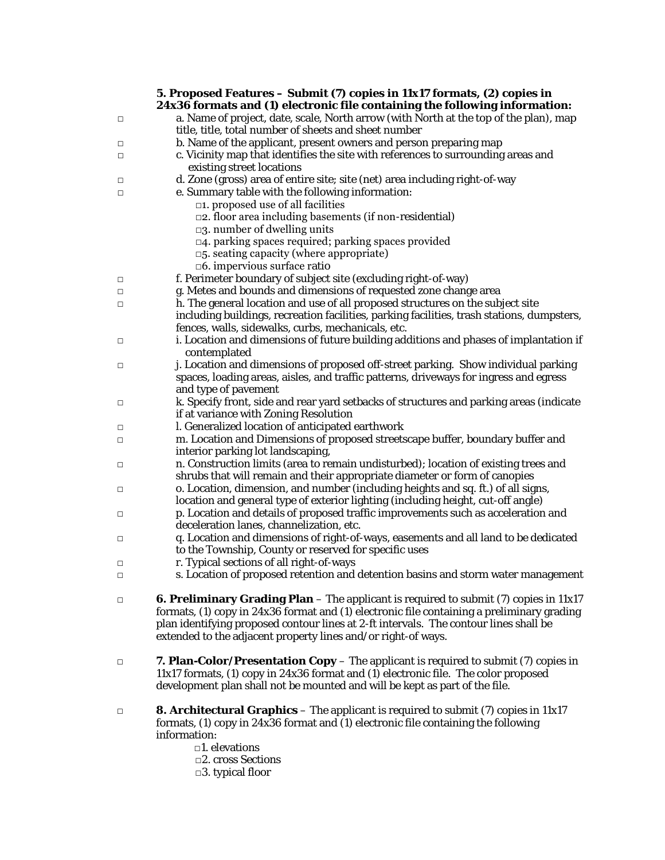|        | 5. Proposed Features - Submit (7) copies in 11x17 formats, (2) copies in<br>24x36 formats and (1) electronic file containing the following information:                                      |
|--------|----------------------------------------------------------------------------------------------------------------------------------------------------------------------------------------------|
| □      | a. Name of project, date, scale, North arrow (with North at the top of the plan), map<br>title, title, total number of sheets and sheet number                                               |
| □      | b. Name of the applicant, present owners and person preparing map                                                                                                                            |
| □      | c. Vicinity map that identifies the site with references to surrounding areas and<br>existing street locations                                                                               |
| □      | d. Zone (gross) area of entire site; site (net) area including right-of-way                                                                                                                  |
| □      | e. Summary table with the following information:                                                                                                                                             |
|        | $\Box$ 1. proposed use of all facilities                                                                                                                                                     |
|        | $\square$ 2. floor area including basements (if non-residential)                                                                                                                             |
|        | $\square$ 3. number of dwelling units                                                                                                                                                        |
|        | $\Box$ 4. parking spaces required; parking spaces provided                                                                                                                                   |
|        | $\square$ 5. seating capacity (where appropriate)                                                                                                                                            |
|        | □6. impervious surface ratio                                                                                                                                                                 |
| $\Box$ | f. Perimeter boundary of subject site (excluding right-of-way)                                                                                                                               |
| $\Box$ | g. Metes and bounds and dimensions of requested zone change area                                                                                                                             |
| $\Box$ | h. The general location and use of all proposed structures on the subject site                                                                                                               |
|        | including buildings, recreation facilities, parking facilities, trash stations, dumpsters,                                                                                                   |
|        | fences, walls, sidewalks, curbs, mechanicals, etc.                                                                                                                                           |
| □      | i. Location and dimensions of future building additions and phases of implantation if                                                                                                        |
|        | contemplated                                                                                                                                                                                 |
| $\Box$ | j. Location and dimensions of proposed off-street parking. Show individual parking                                                                                                           |
|        | spaces, loading areas, aisles, and traffic patterns, driveways for ingress and egress                                                                                                        |
|        | and type of pavement                                                                                                                                                                         |
|        | k. Specify front, side and rear yard setbacks of structures and parking areas (indicate                                                                                                      |
| $\Box$ | if at variance with Zoning Resolution                                                                                                                                                        |
|        | l. Generalized location of anticipated earthwork                                                                                                                                             |
| $\Box$ | m. Location and Dimensions of proposed streetscape buffer, boundary buffer and                                                                                                               |
| $\Box$ | interior parking lot landscaping,                                                                                                                                                            |
| $\Box$ | n. Construction limits (area to remain undisturbed); location of existing trees and                                                                                                          |
|        | shrubs that will remain and their appropriate diameter or form of canopies                                                                                                                   |
| $\Box$ | o. Location, dimension, and number (including heights and sq. ft.) of all signs,                                                                                                             |
|        | location and general type of exterior lighting (including height, cut-off angle)                                                                                                             |
| $\Box$ | p. Location and details of proposed traffic improvements such as acceleration and                                                                                                            |
|        | deceleration lanes, channelization, etc.                                                                                                                                                     |
| $\Box$ | q. Location and dimensions of right-of-ways, easements and all land to be dedicated                                                                                                          |
|        | to the Township, County or reserved for specific uses                                                                                                                                        |
| $\Box$ | r. Typical sections of all right-of-ways                                                                                                                                                     |
| $\Box$ | s. Location of proposed retention and detention basins and storm water management                                                                                                            |
|        |                                                                                                                                                                                              |
| $\Box$ | <b>6. Preliminary Grading Plan</b> – The applicant is required to submit $(7)$ copies in 11x17<br>formats, (1) copy in 24x36 format and (1) electronic file containing a preliminary grading |
|        | plan identifying proposed contour lines at 2-ft intervals. The contour lines shall be                                                                                                        |
|        | extended to the adjacent property lines and/or right-of ways.                                                                                                                                |
| $\Box$ | 7. Plan-Color/Presentation Copy – The applicant is required to submit (7) copies in                                                                                                          |
|        | 11x17 formats, (1) copy in 24x36 format and (1) electronic file. The color proposed                                                                                                          |
|        | development plan shall not be mounted and will be kept as part of the file.                                                                                                                  |
| $\Box$ | <b>8. Architectural Graphics</b> – The applicant is required to submit (7) copies in 11x17                                                                                                   |
|        | formats, (1) copy in 24x36 format and (1) electronic file containing the following                                                                                                           |
|        | information:                                                                                                                                                                                 |
|        | $\square$ 1. elevations                                                                                                                                                                      |
|        | □2. cross Sections                                                                                                                                                                           |
|        | $\Box$ 3. typical floor                                                                                                                                                                      |
|        |                                                                                                                                                                                              |
|        |                                                                                                                                                                                              |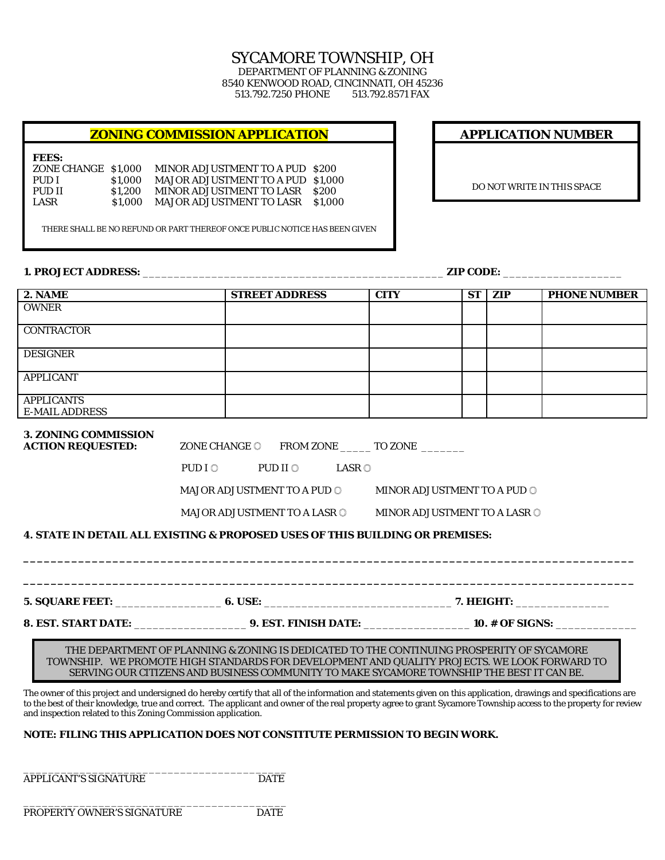## SYCAMORE TOWNSHIP, OH DEPARTMENT OF PLANNING & ZONING

8540 KENWOOD ROAD, CINCINNATI, OH 45236 513.792.7250 PHONE

## **ZONING COMMISSION APPLICATION**

**FEES:**

ZONE CHANGE \$1,000 MINOR ADJUSTMENT TO A PUD \$200<br>PUD I \$1,000 MAJOR ADJUSTMENT TO A PUD \$1,00 PUD I \$1,000 MAJOR ADJUSTMENT TO A PUD \$1,000<br>PUD II \$1,200 MINOR ADJUSTMENT TO LASR \$200 PUD II \$1,200 MINOR ADJUSTMENT TO LASR \$200 LASR \$1,000 MAJOR ADJUSTMENT TO LASR \$1,00 \$1,000 MAJOR ADJUSTMENT TO LASR \$1,000

THERE SHALL BE NO REFUND OR PART THEREOF ONCE PUBLIC NOTICE HAS BEEN GIVEN

#### **1. PROJECT ADDRESS:** \_\_\_\_\_\_\_\_\_\_\_\_\_\_\_\_\_\_\_\_\_\_\_\_\_\_\_\_\_\_\_\_\_\_\_\_\_\_\_\_\_\_\_\_\_\_\_\_ **ZIP CODE:** \_\_\_\_\_\_\_\_\_\_\_\_\_\_\_\_\_\_\_

DO NOT WRITE IN THIS SPACE

**APPLICATION NUMBER**

| 2. <b>NAME</b>                                                                                                                                                                                                                                                                                                                                                                                          |                          | <b>STREET ADDRESS</b>                                              |            | <b>CITY</b>                                                 | <b>ST</b> | ZIP | <b>PHONE NUMBER</b> |
|---------------------------------------------------------------------------------------------------------------------------------------------------------------------------------------------------------------------------------------------------------------------------------------------------------------------------------------------------------------------------------------------------------|--------------------------|--------------------------------------------------------------------|------------|-------------------------------------------------------------|-----------|-----|---------------------|
| <b>OWNER</b>                                                                                                                                                                                                                                                                                                                                                                                            |                          |                                                                    |            |                                                             |           |     |                     |
| <b>CONTRACTOR</b>                                                                                                                                                                                                                                                                                                                                                                                       |                          |                                                                    |            |                                                             |           |     |                     |
| <b>DESIGNER</b>                                                                                                                                                                                                                                                                                                                                                                                         |                          |                                                                    |            |                                                             |           |     |                     |
| <b>APPLICANT</b>                                                                                                                                                                                                                                                                                                                                                                                        |                          |                                                                    |            |                                                             |           |     |                     |
| <b>APPLICANTS</b><br><b>E-MAIL ADDRESS</b>                                                                                                                                                                                                                                                                                                                                                              |                          |                                                                    |            |                                                             |           |     |                     |
| <b>3. ZONING COMMISSION</b><br><b>ACTION REQUESTED:</b>                                                                                                                                                                                                                                                                                                                                                 | ZONE CHANGE O<br>PUD I O | PUD II O                                                           | $LASR$ $@$ | FROM ZONE ________ TO ZONE ________                         |           |     |                     |
|                                                                                                                                                                                                                                                                                                                                                                                                         |                          | <b>MAJOR ADJUSTMENT TO A PUD ©</b><br>MAJOR ADJUSTMENT TO A LASR O |            | MINOR ADJUSTMENT TO A PUD ©<br>MINOR ADJUSTMENT TO A LASR O |           |     |                     |
| <b>4. STATE IN DETAIL ALL EXISTING &amp; PROPOSED USES OF THIS BUILDING OR PREMISES:</b>                                                                                                                                                                                                                                                                                                                |                          |                                                                    |            |                                                             |           |     |                     |
|                                                                                                                                                                                                                                                                                                                                                                                                         |                          |                                                                    |            |                                                             |           |     |                     |
|                                                                                                                                                                                                                                                                                                                                                                                                         |                          |                                                                    |            |                                                             |           |     |                     |
| THE DEPARTMENT OF PLANNING & ZONING IS DEDICATED TO THE CONTINUING PROSPERITY OF SYCAMORE<br>TOWNSHIP. WE PROMOTE HIGH STANDARDS FOR DEVELOPMENT AND QUALITY PROJECTS. WE LOOK FORWARD TO<br>SERVING OUR CITIZENS AND BUSINESS COMMUNITY TO MAKE SYCAMORE TOWNSHIP THE BEST IT CAN BE.                                                                                                                  |                          |                                                                    |            |                                                             |           |     |                     |
| The owner of this project and undersigned do hereby certify that all of the information and statements given on this application, drawings and specifications are<br>to the best of their knowledge, true and correct. The applicant and owner of the real property agree to grant Sycamore Township access to the property for review<br>and inspection related to this Zoning Commission application. |                          |                                                                    |            |                                                             |           |     |                     |
| NOTE: FILING THIS APPLICATION DOES NOT CONSTITUTE PERMISSION TO BEGIN WORK.                                                                                                                                                                                                                                                                                                                             |                          |                                                                    |            |                                                             |           |     |                     |

\_\_\_\_\_\_\_\_\_\_\_\_\_\_\_\_\_\_\_\_\_\_\_\_\_\_\_\_\_\_\_\_\_\_\_\_\_\_\_\_\_\_ APPLICANT'S SIGNATURE DATE

PROPERTY OWNER'S SIGNATURE DATE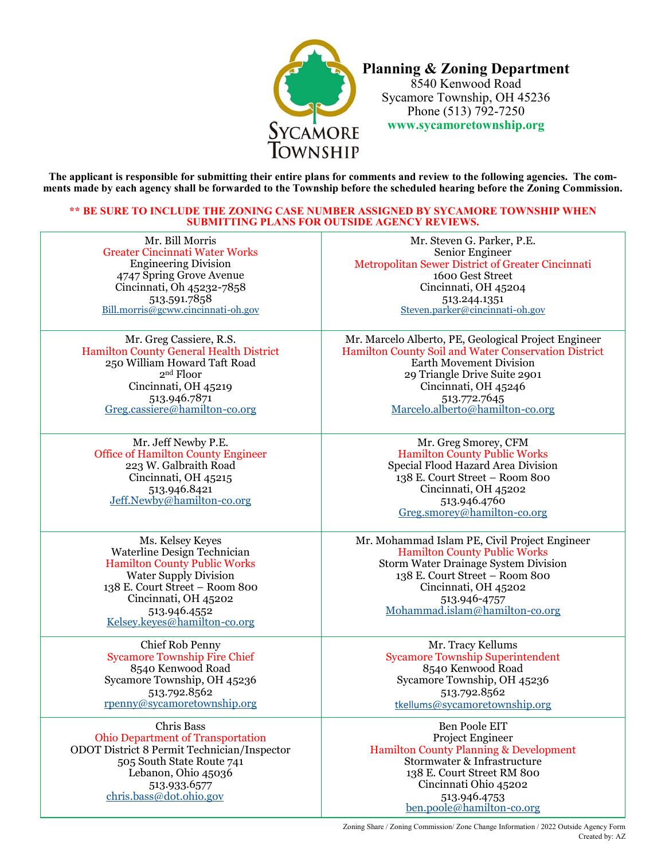

**Planning & Zoning Department** 8540 Kenwood Road Sycamore Township, OH 45236 Phone (513) 792-7250 **www.sycamoretownship.org**

**The applicant is responsible for submitting their entire plans for comments and review to the following agencies. The comments made by each agency shall be forwarded to the Township before the scheduled hearing before the Zoning Commission.**

### **\*\* BE SURE TO INCLUDE THE ZONING CASE NUMBER ASSIGNED BY SYCAMORE TOWNSHIP WHEN SUBMITTING PLANS FOR OUTSIDE AGENCY REVIEWS.**

[Mr. Bill Morris](mailto:Bill.morris@gcww.cincinnati-oh.gov) Greater Cincinnati Water Works Engineering Division 4747 Spring Grove Avenue Cincinnati, Oh 45232-7858 513.591.7858 Bill.morris@gcww.cincinnati-oh.gov Mr. Greg Cassiere, R.S.

Hamilton County General Health District 25[0 William Howard Taft Road](mailto:Greg.cassiere@hamilton-co.org) 2nd Floor Cincinnati, OH 45219 513.946.7871 Greg.cassiere@hamilton-co.org

Mr. Jeff Newby P.E. Office of Hamilton County Engineer 223 W. Galbraith Road Cincinnati, OH 45215 [513.946.8421](mailto:Eric.beck@hamilton-co.org) Jeff.Newby@hamilton-co.org

Ms. Kelsey Keyes Waterline Design Technician Hamilton County Public Works Water Supply Division 138 E. Court Street – Room 800 Cincinnati, OH 45202 513.946.4552 Kel[sey.keyes@hamilton](mailto:Kelsey.keyes@hamilton-co.org)-co.org

Chief Rob Penny Sycamore Township Fire Chief 8540 Kenwood Road Sycamore Township, OH 45236 513.792.8562 rpenny@sycamoretownship.org

Chris Bass Ohio [Department of Transportation](mailto:rpenny@sycamoretownship.org) ODOT District 8 Permit Technician/Inspector 505 South State Route 741 Lebanon, Ohio 45036 513.933.6577 chris.bass@dot.ohio.gov

[Mr. Steven G. Parker, P.E.](mailto:Steven.parker@cincinnati-oh.gov) Senior Engineer Metropolitan Sewer District of Greater Cincinnati 1600 Gest Street Cincinnati, OH 45204 513.244.1351 Steven.parker@cincinnati-oh.gov

Mr. Marcelo Alberto, PE, Geological Project Engineer Hamilton County Soil and Water Conservation District Earth Movement Division 29 Triangle Drive Suite 2901 [Cincinnati, OH 45246](mailto:Marcelo.alberto@hamilton-co.org) 513.772.7645 Marcelo.alberto@hamilton-co.org

> Mr. Greg Smorey, CFM Hamilton County Public Works Special Flood Hazard Area Division 138 E. Court Street – Room 800 Cincinnati, OH 45202 [513.946.4760](mailto:Greg.smorey@hamilton-co.org) Greg.smorey@hamilton-co.org

Mr. Mohammad Islam PE, Civil Project Engineer Hamilton County Public Works Storm Water Drainage System Division 138 E. Court Street – Room 800 Cincinnati, OH 45202 513.946-4757 [Mohammad.islam@hamilton](mailto:Mohammad.islam@hamilton-co.org)-co.org

> Mr. Tracy Kellums Sycamore Township Superintendent 8540 Kenwood Road Sycamore Township, OH 45236 513.792.8562 tkellums@sycamoretownship.org

[Ben Poole EIT](mailto:tkellums@sycamoretownship.org)  Project Engineer Hamilton County Planning & Development Stormwater & Infrastructure 138 E. Court Street RM 800 Cincinnati Ohio 45202 513.946.4753 ben.poole@hamilton-co.org

Zoning Share / Zoning Commission/ Zone Change Information / 2022 Outside Agency Form Created by: AZ